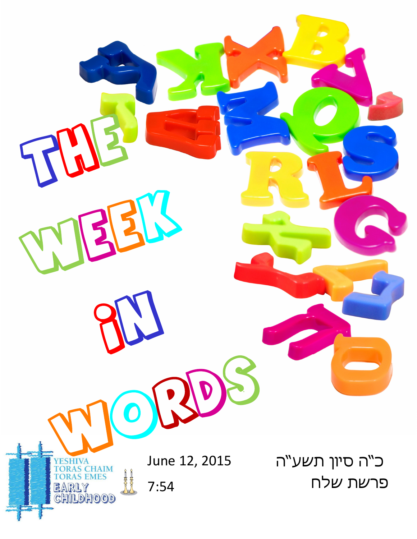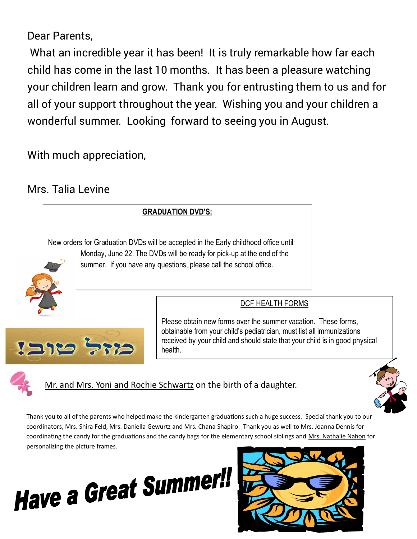Dear Parents,

 What an incredible year it has been! It is truly remarkable how far each child has come in the last 10 months. It has been a pleasure watching your children learn and grow. Thank you for entrusting them to us and for all of your support throughout the year. Wishing you and your children a wonderful summer. Looking forward to seeing you in August.

With much appreciation,

## Mrs. Talia Levine





# **Have a Great Summer!**

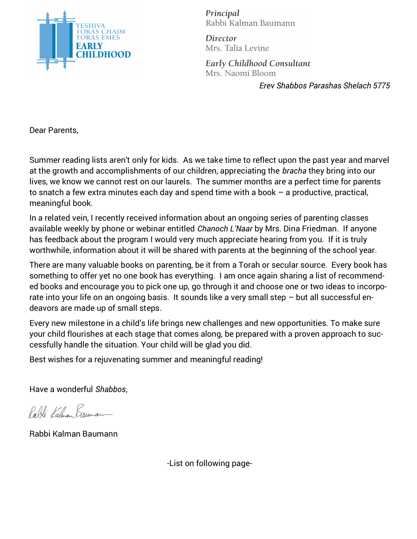

Principal Rabbi Kalman Baumann

Director Mrs. Talia Levine

Early Childhood Consultant Mrs. Naomi Bloom

*Erev Shabbos Parashas Shelach 5775*

Dear Parents,

Summer reading lists aren't only for kids. As we take time to reflect upon the past year and marvel at the growth and accomplishments of our children, appreciating the *bracha* they bring into our lives, we know we cannot rest on our laurels. The summer months are a perfect time for parents to snatch a few extra minutes each day and spend time with a book – a productive, practical, meaningful book.

In a related vein, I recently received information about an ongoing series of parenting classes available weekly by phone or webinar entitled *Chanoch L'Naar* by Mrs. Dina Friedman. If anyone has feedback about the program I would very much appreciate hearing from you. If it is truly worthwhile, information about it will be shared with parents at the beginning of the school year.

There are many valuable books on parenting, be it from a Torah or secular source. Every book has something to offer yet no one book has everything. I am once again sharing a list of recommended books and encourage you to pick one up, go through it and choose one or two ideas to incorporate into your life on an ongoing basis. It sounds like a very small step – but all successful endeavors are made up of small steps.

Every new milestone in a child's life brings new challenges and new opportunities. To make sure your child flourishes at each stage that comes along, be prepared with a proven approach to successfully handle the situation. Your child will be glad you did.

Best wishes for a rejuvenating summer and meaningful reading!

Have a wonderful *Shabbos*,

Palli Kahian Bannau

Rabbi Kalman Baumann

-List on following page-